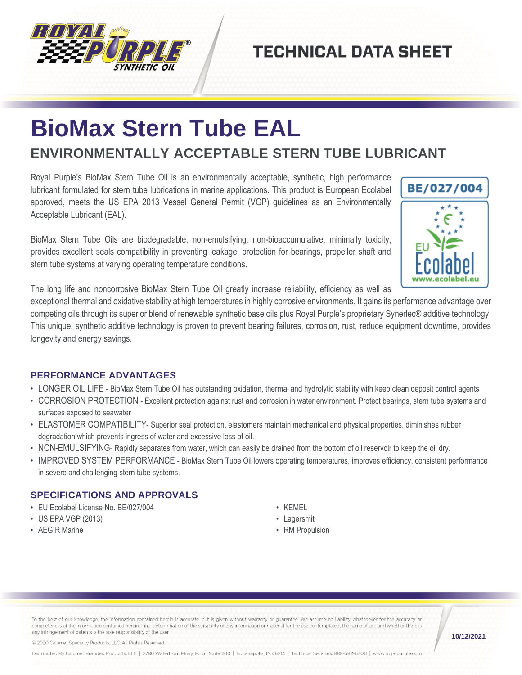

## **TECHNICAL DATA SHEET**

# **BioMax Stern Tube EAL**

### **ENVIRONMENTALLY ACCEPTABLE STERN TUBE LUBRICANT**

Royal Purple's BioMax Stern Tube Oil is an environmentally acceptable, synthetic, high performance lubricant formulated for stern tube lubrications in marine applications. This product is European Ecolabel approved, meets the US EPA 2013 Vessel General Permit (VGP) guidelines as an Environmentally Acceptable Lubricant (EAL).

BioMax Stern Tube Oils are biodegradable, non-emulsifying, non-bioaccumulative, minimally toxicity, provides excellent seals compatibility in preventing leakage, protection for bearings, propeller shaft and stern tube systems at varying operating temperature conditions.



The long life and noncorrosive BioMax Stern Tube Oil greatly increase reliability, efficiency as well as

exceptional thermal and oxidative stability at high temperatures in highly corrosive environments. It gains its performance advantage over competing oils through its superior blend of renewable synthetic base oils plus Royal Purple's proprietary Synerlec® additive technology. This unique, synthetic additive technology is proven to prevent bearing failures, corrosion, rust, reduce equipment downtime, provides longevity and energy savings.

#### **PERFORMANCE ADVANTAGES**

- LONGER OIL LIFE BioMax Stern Tube Oil has outstanding oxidation, thermal and hydrolytic stability with keep clean deposit control agents
- CORROSION PROTECTION Excellent protection against rust and corrosion in water environment. Protect bearings, stern tube systems and surfaces exposed to seawater
- ELASTOMER COMPATIBILITY- Superior seal protection, elastomers maintain mechanical and physical properties, diminishes rubber degradation which prevents ingress of water and excessive loss of oil.
- NON-EMULSIFYING- Rapidly separates from water, which can easily be drained from the bottom of oil reservoir to keep the oil dry.
- IMPROVED SYSTEM PERFORMANCE BioMax Stern Tube Oil lowers operating temperatures, improves efficiency, consistent performance in severe and challenging stern tube systems.

#### **SPECIFICATIONS AND APPROVALS**

- EU Ecolabel License No. BE/027/004
- US EPA VGP (2013)
- AEGIR Marine
- KEMEL
- Lagersmit
- RM Propulsion

To the best of our knowledge, the information contained herein is accurate, but is given without warranty or guarantee. We assume no liability whatsoever for the accuracy or completeness of the information contained herein. Final determination of the suitability of any information or material for the use contemplated, the name of use and whether there is any infringement of patents is the sole responsibility of the user.

© 2020 Calumet Specialty Products, LLC, All Rights Reserved.

Distributed By Calumet Branded Products, LLC | 2780 Waterfront Pkwy. E. Dr., Suite 200 | Indianapolis, IN 46214 | Technical Services: 888-382-6300 | www.royalpurple.com